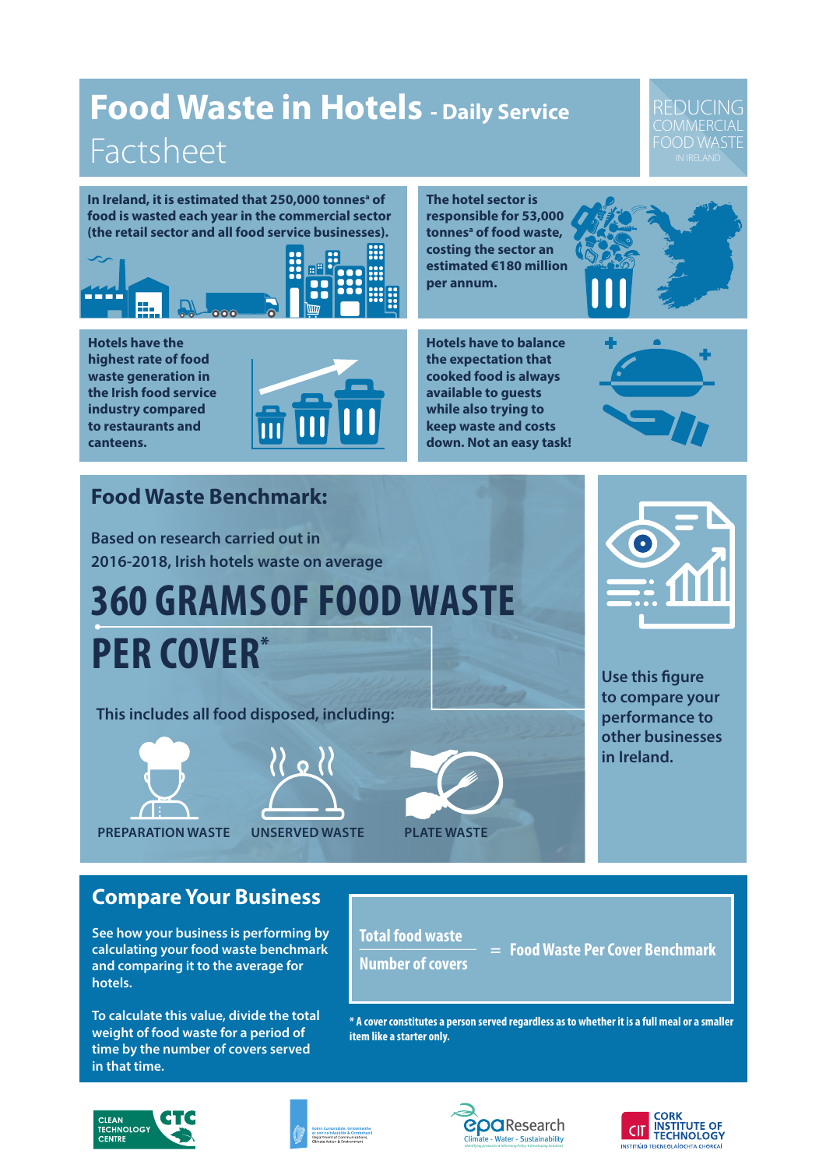## **Food Waste in Hotels - Daily Service** Factsheet

#### REDUCING **COMMERCIAL** FOOD WASTE

In Ireland, it is estimated that 250,000 tonnes<sup>a</sup> of **food is wasted each year in the commercial sector (the retail sector and all food service businesses).** 



**The hotel sector is responsible for 53,000**  tonnes<sup>a</sup> of food waste, **costing the sector an estimated €180 million per annum.**



**Hotels have the highest rate of food waste generation in the Irish food service industry compared to restaurants and canteens.** 



**Hotels have to balance the expectation that cooked food is always available to guests while also trying to keep waste and costs down. Not an easy task!**



### **Food Waste Benchmark:**

**Based on research carried out in 2016-2018, Irish hotels waste on average** 

# **360 GRAMS OF FOOD WASTE PER COVER\***

**This includes all food disposed, including:**





**PREPARATION WASTE UNSERVED WASTE PLATE WASTE**





**Use this figure to compare your performance to other businesses in Ireland.** 

#### **Compare Your Business**

**See how your business is performing by calculating your food waste benchmark and comparing it to the average for hotels.** 

**To calculate this value, divide the total weight of food waste for a period of time by the number of covers served in that time.**

**Total food waste \_\_\_\_\_\_\_\_\_\_\_\_\_ Number of covers**

 **= Food Waste Per Cover Benchmark**

**\* A cover constitutes a person served regardless as to whether it is a full meal or a smaller item like a starter only.**